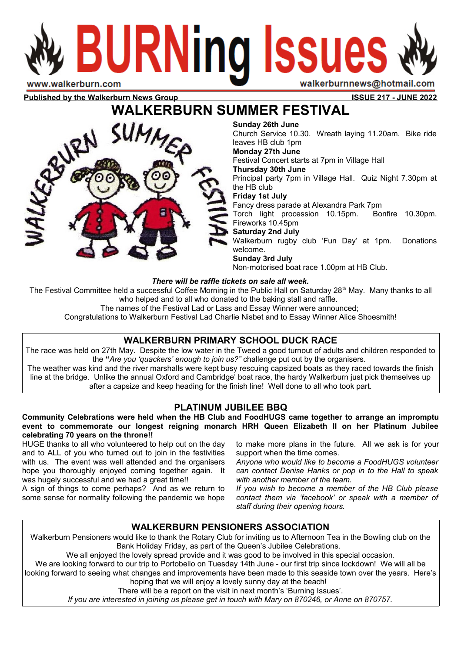# **BURNing Issues** walkerburnnews@hotmail.com w.walkerburn.com

**Published by the Walkerburn News Group ISSUE 217 - JUNE 2022** 

# **WALKERBURN SUMMER FESTIVAL**



**Sunday 26th June**

Church Service 10.30. Wreath laying 11.20am. Bike ride leaves HB club 1pm

#### **Monday 27th June**

Festival Concert starts at 7pm in Village Hall

#### **Thursday 30th June**

Principal party 7pm in Village Hall. Quiz Night 7.30pm at the HB club

#### **Friday 1st July**

Fancy dress parade at Alexandra Park 7pm

Torch light procession 10.15pm. Bonfire 10.30pm. Fireworks 10.45pm

#### **Saturday 2nd July**

Walkerburn rugby club 'Fun Day' at 1pm. Donations welcome.

#### **Sunday 3rd July**

Non-motorised boat race 1.00pm at HB Club.

#### *There will be raffle tickets on sale all week.*

The Festival Committee held a successful Coffee Morning in the Public Hall on Saturday 28<sup>th</sup> May. Many thanks to all who helped and to all who donated to the baking stall and raffle.

The names of the Festival Lad or Lass and Essay Winner were announced;

Congratulations to Walkerburn Festival Lad Charlie Nisbet and to Essay Winner Alice Shoesmith!

# **WALKERBURN PRIMARY SCHOOL DUCK RACE**

The race was held on 27th May. Despite the low water in the Tweed a good turnout of adults and children responded to the **"***Are you 'quackers' enough to join us?"* challenge put out by the organisers*.* 

The weather was kind and the river marshalls were kept busy rescuing capsized boats as they raced towards the finish line at the bridge. Unlike the annual Oxford and Cambridge' boat race, the hardy Walkerburn just pick themselves up after a capsize and keep heading for the finish line! Well done to all who took part.

# **PLATINUM JUBILEE BBQ**

**Community Celebrations were held when the HB Club and FoodHUGS came together to arrange an impromptu event to commemorate our longest reigning monarch HRH Queen Elizabeth II on her Platinum Jubilee celebrating 70 years on the throne!!** 

HUGE thanks to all who volunteered to help out on the day and to ALL of you who turned out to join in the festivities with us. The event was well attended and the organisers hope you thoroughly enjoyed coming together again. It was hugely successful and we had a great time!!

A sign of things to come perhaps? And as we return to some sense for normality following the pandemic we hope to make more plans in the future. All we ask is for your support when the time comes.

*Anyone who would like to become a FoodHUGS volunteer can contact Denise Hanks or pop in to the Hall to speak with another member of the team.* 

*If you wish to become a member of the HB Club please contact them via 'facebook' or speak with a member of staff during their opening hours.*

## **WALKERBURN PENSIONERS ASSOCIATION**

Walkerburn Pensioners would like to thank the Rotary Club for inviting us to Afternoon Tea in the Bowling club on the Bank Holiday Friday, as part of the Queen's Jubilee Celebrations.

We all enjoyed the lovely spread provide and it was good to be involved in this special occasion.

We are looking forward to our trip to Portobello on Tuesday 14th June - our first trip since lockdown! We will all be looking forward to seeing what changes and improvements have been made to this seaside town over the years. Here's hoping that we will enjoy a lovely sunny day at the beach!

There will be a report on the visit in next month's 'Burning Issues'.

*If you are interested in joining us please get in touch with Mary on 870246, or Anne on 870757.*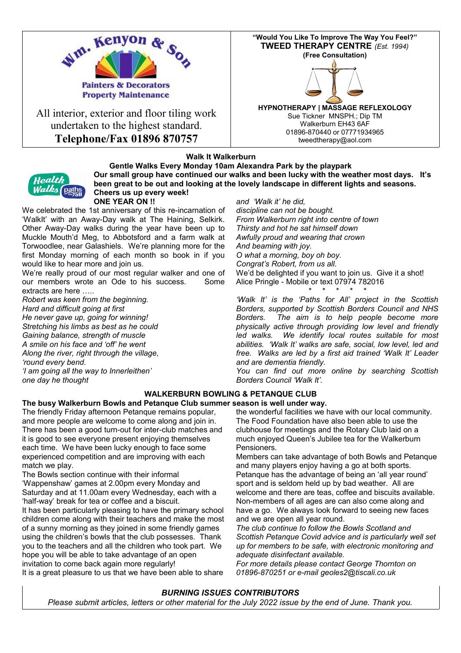

All interior, exterior and floor tiling work undertaken to the highest standard. **Telephone/Fax 01896 870757**



#### **Walk It Walkerburn**



**Gentle Walks Every Monday 10am Alexandra Park by the playpark Our small group have continued our walks and been lucky with the weather most days. It's been great to be out and looking at the lovely landscape in different lights and seasons. Cheers us up every week! ONE YEAR ON !!**

We celebrated the 1st anniversary of this re-incarnation of 'WalkIt' with an Away-Day walk at The Haining, Selkirk. Other Away-Day walks during the year have been up to Muckle Mouth'd Meg, to Abbotsford and a farm walk at Torwoodlee, near Galashiels. We're planning more for the first Monday morning of each month so book in if you would like to hear more and join us.

We're really proud of our most regular walker and one of our members wrote an Ode to his success. Some extracts are here …..

*Robert was keen from the beginning. Hard and difficult going at first He never gave up, going for winning! Stretching his limbs as best as he could*

*Gaining balance, strength of muscle A smile on his face and 'off' he went Along the river, right through the village,*

*'round every bend.*

*'I am going all the way to Innerleithen' one day he thought*

#### *and 'Walk it' he did,*

*discipline can not be bought. From Walkerburn right into centre of town Thirsty and hot he sat himself down Awfully proud and wearing that crown And beaming with joy. O what a morning, boy oh boy. Congrat's Robert, from us all.* We'd be delighted if you want to join us. Give it a shot! Alice Pringle - Mobile or text 07974 782016

\* \* \* \* \* *'Walk It' is the 'Paths for All' project in the Scottish Borders, supported by Scottish Borders Council and NHS Borders. The aim is to help people become more physically active through providing low level and friendly led walks. We identify local routes suitable for most abilities. 'Walk It' walks are safe, social, low level, led and free. Walks are led by a first aid trained 'Walk It' Leader and are dementia friendly.*

*You can find out more online by searching Scottish Borders Council 'Walk It'.*

## **WALKERBURN BOWLING & PETANQUE CLUB**

**The busy Walkerburn Bowls and Petanque Club summer season is well under way.**  The friendly Friday afternoon Petanque remains popular, and more people are welcome to come along and join in. There has been a good turn-out for inter-club matches and it is good to see everyone present enjoying themselves each time. We have been lucky enough to face some experienced competition and are improving with each match we play.

The Bowls section continue with their informal 'Wappenshaw' games at 2.00pm every Monday and Saturday and at 11.00am every Wednesday, each with a 'half-way' break for tea or coffee and a biscuit. It has been particularly pleasing to have the primary school

children come along with their teachers and make the most of a sunny morning as they joined in some friendly games using the children's bowls that the club possesses. Thank you to the teachers and all the children who took part. We hope you will be able to take advantage of an open invitation to come back again more regularly!

It is a great pleasure to us that we have been able to share

the wonderful facilities we have with our local community. The Food Foundation have also been able to use the clubhouse for meetings and the Rotary Club laid on a much enjoyed Queen's Jubilee tea for the Walkerburn Pensioners.

Members can take advantage of both Bowls and Petanque and many players enjoy having a go at both sports. Petanque has the advantage of being an 'all year round' sport and is seldom held up by bad weather. All are welcome and there are teas, coffee and biscuits available. Non-members of all ages are can also come along and have a go. We always look forward to seeing new faces and we are open all year round.

*The club continue to follow the Bowls Scotland and Scottish Petanque Covid advice and is particularly well set up for members to be safe, with electronic monitoring and adequate disinfectant available.*

*For more details please contact George Thornton on 01896-870251 or e-mail geoles2@tiscali.co.uk*

#### *BURNING ISSUES CONTRIBUTORS Please submit articles, letters or other material for the July 2022 issue by the end of June. Thank you.*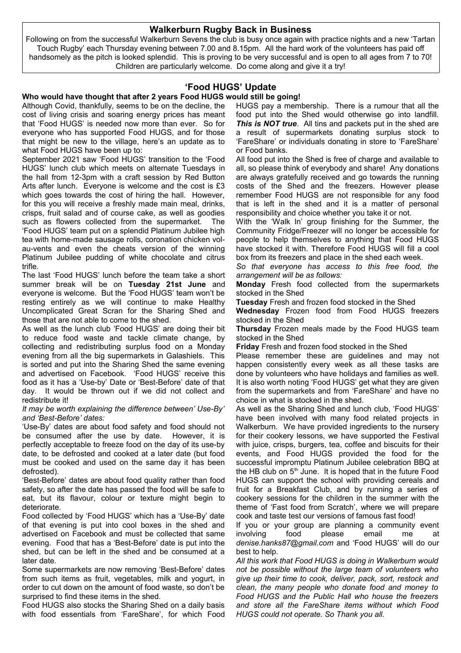### **Walkerburn Rugby Back in Business**

Following on from the successful Walkerburn Sevens the club is busy once again with practice nights and a new 'Tartan Touch Rugby' each Thursday evening between 7.00 and 8.15pm. All the hard work of the volunteers has paid off handsomely as the pitch is looked splendid. This is proving to be very successful and is open to all ages from 7 to 70! Children are particularly welcome. Do come along and give it a try!

## **'Food HUGS' Update**

#### **Who would have thought that after 2 years Food HUGS would still be going!**

Although Covid, thankfully, seems to be on the decline, the cost of living crisis and soaring energy prices has meant that 'Food HUGS' is needed now more than ever. So for everyone who has supported Food HUGS, and for those that might be new to the village, here's an update as to what Food HUGS have been up to:

September 2021 saw 'Food HUGS' transition to the 'Food HUGS' lunch club which meets on alternate Tuesdays in the hall from 12-3pm with a craft session by Red Button Arts after lunch. Everyone is welcome and the cost is £3 which goes towards the cost of hiring the hall. However, for this you will receive a freshly made main meal, drinks, crisps, fruit salad and of course cake, as well as goodies such as flowers collected from the supermarket. The 'Food HUGS' team put on a splendid Platinum Jubilee high tea with home-made sausage rolls, coronation chicken volau-vents and even the cheats version of the winning Platinum Jubilee pudding of white chocolate and citrus trifle.

The last 'Food HUGS' lunch before the team take a short summer break will be on **Tuesday 21st June** and everyone is welcome. But the 'Food HUGS' team won't be resting entirely as we will continue to make Healthy Uncomplicated Great Scran for the Sharing Shed and those that are not able to come to the shed.

As well as the lunch club 'Food HUGS' are doing their bit to reduce food waste and tackle climate change, by collecting and redistributing surplus food on a Monday evening from all the big supermarkets in Galashiels. This is sorted and put into the Sharing Shed the same evening and advertised on Facebook. 'Food HUGS' receive this food as it has a 'Use-by' Date or 'Best-Before' date of that day. It would be thrown out if we did not collect and redistribute it!

#### *It may be worth explaining the difference between' Use-By' and 'Best-Before' dates:*

'Use-By' dates are about food safety and food should not be consumed after the use by date. However, it is perfectly acceptable to freeze food on the day of its use-by date, to be defrosted and cooked at a later date (but food must be cooked and used on the same day it has been defrosted).

'Best-Before' dates are about food quality rather than food safety, so after the date has passed the food will be safe to eat, but its flavour, colour or texture might begin to deteriorate.

Food collected by 'Food HUGS' which has a 'Use-By' date of that evening is put into cool boxes in the shed and advertised on Facebook and must be collected that same evening. Food that has a 'Best-Before' date is put into the shed, but can be left in the shed and be consumed at a later date.

Some supermarkets are now removing 'Best-Before' dates from such items as fruit, vegetables, milk and yogurt, in order to cut down on the amount of food waste, so don't be surprised to find these items in the shed.

Food HUGS also stocks the Sharing Shed on a daily basis with food essentials from 'FareShare', for which Food HUGS pay a membership. There is a rumour that all the food put into the Shed would otherwise go into landfill. *This is NOT true.* All tins and packets put in the shed are a result of supermarkets donating surplus stock to 'FareShare' or individuals donating in store to 'FareShare' or Food banks.

All food put into the Shed is free of charge and available to all, so please think of everybody and share! Any donations are always gratefully received and go towards the running costs of the Shed and the freezers. However please remember Food HUGS are not responsible for any food that is left in the shed and it is a matter of personal responsibility and choice whether you take it or not.

With the 'Walk In' group finishing for the Summer, the Community Fridge/Freezer will no longer be accessible for people to help themselves to anything that Food HUGS have stocked it with. Therefore Food HUGS will fill a cool box from its freezers and place in the shed each week.

*So that everyone has access to this free food, the arrangement will be as follows:*

**Monday** Fresh food collected from the supermarkets stocked in the Shed

**Tuesday** Fresh and frozen food stocked in the Shed

**Wednesday** Frozen food from Food HUGS freezers stocked in the Shed

**Thursday** Frozen meals made by the Food HUGS team stocked in the Shed

**Friday** Fresh and frozen food stocked in the Shed

Please remember these are guidelines and may not happen consistently every week as all these tasks are done by volunteers who have holidays and families as well. It is also worth noting 'Food HUGS' get what they are given from the supermarkets and from 'FareShare' and have no choice in what is stocked in the shed.

As well as the Sharing Shed and lunch club, 'Food HUGS' have been involved with many food related projects in Walkerburn. We have provided ingredients to the nursery for their cookery lessons, we have supported the Festival with juice, crisps, burgers, tea, coffee and biscuits for their events, and Food HUGS provided the food for the successful impromptu Platinum Jubilee celebration BBQ at the HB club on  $5<sup>th</sup>$  June. It is hoped that in the future Food HUGS can support the school with providing cereals and fruit for a Breakfast Club, and by running a series of cookery sessions for the children in the summer with the theme of 'Fast food from Scratch', where we will prepare cook and taste test our versions of famous fast food!

If you or your group are planning a community event involving food please email me at *denise.hanks87@gmail.com* and 'Food HUGS' will do our best to help.

*All this work that Food HUGS is doing in Walkerburn would not be possible without the large team of volunteers who give up their time to cook, deliver, pack, sort, restock and clean, the many people who donate food and money to Food HUGS and the Public Hall who house the freezers and store all the FareShare items without which Food HUGS could not operate. So Thank you all.*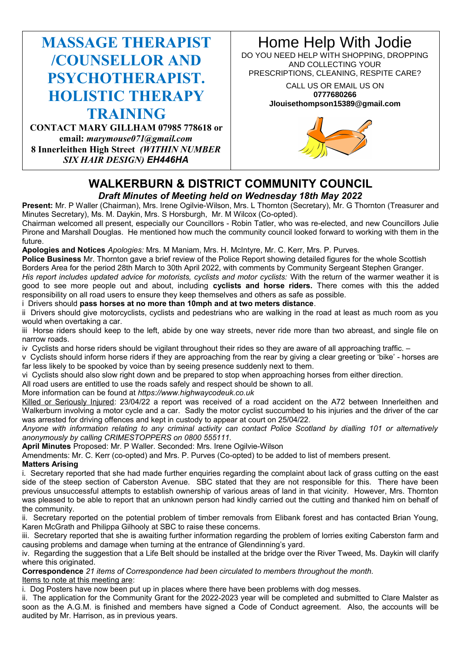# **MASSAGE THERAPIST /COUNSELLOR AND PSYCHOTHERAPIST. HOLISTIC THERAPY TRAINING**

**CONTACT MARY GILLHAM 07985 778618 or email:** *marymouse071@gmail.com* **8 Innerleithen High Street** *(WITHIN NUMBER SIX HAIR DESIGN) EH446HA*

# Home Help With Jodie

DO YOU NEED HELP WITH SHOPPING, DROPPING AND COLLECTING YOUR PRESCRIPTIONS, CLEANING, RESPITE CARE?

#### CALL US OR EMAIL US ON **0777680266 Jlouisethompson15389@gmail.com**



# **WALKERBURN & DISTRICT COMMUNITY COUNCIL** *Draft Minutes of Meeting held on Wednesday 18th May 2022*

Present: Mr. P Waller (Chairman), Mrs. Irene Ogilvie-Wilson, Mrs. L Thornton (Secretary), Mr. G Thornton (Treasurer and Minutes Secretary), Ms. M. Daykin, Mrs. S Horsburgh, Mr. M Wilcox (Co-opted).

Chairman welcomed all present, especially our Councillors - Robin Tatler, who was re-elected, and new Councillors Julie Pirone and Marshall Douglas. He mentioned how much the community council looked forward to working with them in the future.

**Apologies and Notices** *Apologies:* Mrs. M Maniam, Mrs. H. McIntyre, Mr. C. Kerr, Mrs. P. Purves.

**Police Business** Mr. Thornton gave a brief review of the Police Report showing detailed figures for the whole Scottish Borders Area for the period 28th March to 30th April 2022, with comments by Community Sergeant Stephen Granger.

*His report includes updated advice for motorists, cyclists and motor cyclists:* With the return of the warmer weather it is good to see more people out and about, including **cyclists and horse riders.** There comes with this the added responsibility on all road users to ensure they keep themselves and others as safe as possible.

i Drivers should **pass horses at no more than 10mph and at two meters distance**.

ii Drivers should give motorcyclists, cyclists and pedestrians who are walking in the road at least as much room as you would when overtaking a car.

iii Horse riders should keep to the left, abide by one way streets, never ride more than two abreast, and single file on narrow roads.

iv Cyclists and horse riders should be vigilant throughout their rides so they are aware of all approaching traffic. –

v Cyclists should inform horse riders if they are approaching from the rear by giving a clear greeting or 'bike' - horses are far less likely to be spooked by voice than by seeing presence suddenly next to them.

vi Cyclists should also slow right down and be prepared to stop when approaching horses from either direction.

All road users are entitled to use the roads safely and respect should be shown to all.

More information can be found at *https://www.highwaycodeuk.co.uk*

Killed or Seriously Injured: 23/04/22 a report was received of a road accident on the A72 between Innerleithen and Walkerburn involving a motor cycle and a car. Sadly the motor cyclist succumbed to his injuries and the driver of the car was arrested for driving offences and kept in custody to appear at court on 25/04/22.

*Anyone with information relating to any criminal activity can contact Police Scotland by dialling 101 or alternatively anonymously by calling CRIMESTOPPERS on 0800 555111.*

**April Minutes** Proposed: Mr. P Waller. Seconded: Mrs. Irene Ogilvie-Wilson

Amendments: Mr. C. Kerr (co-opted) and Mrs. P. Purves (Co-opted) to be added to list of members present.

**Matters Arising**

i. Secretary reported that she had made further enquiries regarding the complaint about lack of grass cutting on the east side of the steep section of Caberston Avenue. SBC stated that they are not responsible for this. There have been previous unsuccessful attempts to establish ownership of various areas of land in that vicinity. However, Mrs. Thornton was pleased to be able to report that an unknown person had kindly carried out the cutting and thanked him on behalf of the community.

ii. Secretary reported on the potential problem of timber removals from Elibank forest and has contacted Brian Young, Karen McGrath and Philippa Gilhooly at SBC to raise these concerns.

iii. Secretary reported that she is awaiting further information regarding the problem of lorries exiting Caberston farm and causing problems and damage when turning at the entrance of Glendinning's yard.

iv. Regarding the suggestion that a Life Belt should be installed at the bridge over the River Tweed, Ms. Daykin will clarify where this originated.

**Correspondence** *21 items of Correspondence had been circulated to members throughout the month.* Items to note at this meeting are:

i. Dog Posters have now been put up in places where there have been problems with dog messes.

ii. The application for the Community Grant for the 2022-2023 year will be completed and submitted to Clare Malster as soon as the A.G.M. is finished and members have signed a Code of Conduct agreement. Also, the accounts will be audited by Mr. Harrison, as in previous years.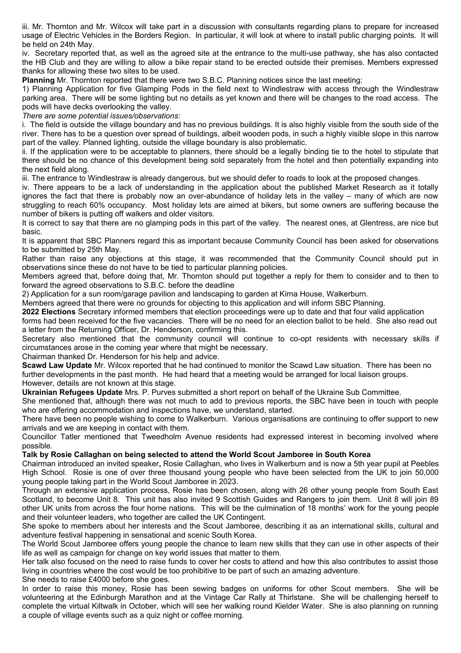iii. Mr. Thornton and Mr. Wilcox will take part in a discussion with consultants regarding plans to prepare for increased usage of Electric Vehicles in the Borders Region. In particular, it will look at where to install public charging points. It will be held on 24th May.

iv. Secretary reported that, as well as the agreed site at the entrance to the multi-use pathway, she has also contacted the HB Club and they are willing to allow a bike repair stand to be erected outside their premises. Members expressed thanks for allowing these two sites to be used.

**Planning** Mr. Thornton reported that there were two S.B.C. Planning notices since the last meeting:

1) Planning Application for five Glamping Pods in the field next to Windlestraw with access through the Windlestraw parking area. There will be some lighting but no details as yet known and there will be changes to the road access. The pods will have decks overlooking the valley.

*There are some potential issues/observations*:

i. The field is outside the village boundary and has no previous buildings. It is also highly visible from the south side of the river. There has to be a question over spread of buildings, albeit wooden pods, in such a highly visible slope in this narrow part of the valley. Planned lighting, outside the village boundary is also problematic.

ii. If the application were to be acceptable to planners, there should be a legally binding tie to the hotel to stipulate that there should be no chance of this development being sold separately from the hotel and then potentially expanding into the next field along.

iii. The entrance to Windlestraw is already dangerous, but we should defer to roads to look at the proposed changes.

iv. There appears to be a lack of understanding in the application about the published Market Research as it totally ignores the fact that there is probably now an over-abundance of holiday lets in the valley – many of which are now struggling to reach 60% occupancy. Most holiday lets are aimed at bikers, but some owners are suffering because the number of bikers is putting off walkers and older visitors.

It is correct to say that there are no glamping pods in this part of the valley. The nearest ones, at Glentress, are nice but basic.

It is apparent that SBC Planners regard this as important because Community Council has been asked for observations to be submitted by 25th May.

Rather than raise any objections at this stage, it was recommended that the Community Council should put in observations since these do not have to be tied to particular planning policies.

Members agreed that, before doing that, Mr. Thornton should put together a reply for them to consider and to then to forward the agreed observations to S.B.C. before the deadline

2) Application for a sun room/garage pavilion and landscaping to garden at Kirna House, Walkerburn.

Members agreed that there were no grounds for objecting to this application and will inform SBC Planning.

**2022 Elections** Secretary informed members that election proceedings were up to date and that four valid application forms had been received for the five vacancies. There will be no need for an election ballot to be held. She also read out a letter from the Returning Officer, Dr. Henderson, confirming this.

Secretary also mentioned that the community council will continue to co-opt residents with necessary skills if circumstances arose in the coming year where that might be necessary.

Chairman thanked Dr. Henderson for his help and advice.

**Scawd Law Update** Mr. Wilcox reported that he had continued to monitor the Scawd Law situation. There has been no further developments in the past month. He had heard that a meeting would be arranged for local liaison groups. However, details are not known at this stage.

**Ukrainian Refugees Update** Mrs. P. Purves submitted a short report on behalf of the Ukraine Sub Committee.

She mentioned that, although there was not much to add to previous reports, the SBC have been in touch with people who are offering accommodation and inspections have, we understand, started.

There have been no people wishing to come to Walkerburn. Various organisations are continuing to offer support to new arrivals and we are keeping in contact with them.

Councillor Tatler mentioned that Tweedholm Avenue residents had expressed interest in becoming involved where possible.

#### **Talk by Rosie Callaghan on being selected to attend the World Scout Jamboree in South Korea**

Chairman introduced an invited speaker**,** Rosie Callaghan, who lives in Walkerburn and is now a 5th year pupil at Peebles High School. Rosie is one of over three thousand young people who have been selected from the UK to join 50,000 young people taking part in the World Scout Jamboree in 2023.

Through an extensive application process, Rosie has been chosen, along with 26 other young people from South East Scotland, to become Unit 8. This unit has also invited 9 Scottish Guides and Rangers to join them. Unit 8 will join 89 other UK units from across the four home nations. This will be the culmination of 18 months' work for the young people and their volunteer leaders, who together are called the UK Contingent.

She spoke to members about her interests and the Scout Jamboree, describing it as an international skills, cultural and adventure festival happening in sensational and scenic South Korea.

The World Scout Jamboree offers young people the chance to learn new skills that they can use in other aspects of their life as well as campaign for change on key world issues that matter to them.

Her talk also focused on the need to raise funds to cover her costs to attend and how this also contributes to assist those living in countries where the cost would be too prohibitive to be part of such an amazing adventure.

She needs to raise £4000 before she goes.

In order to raise this money, Rosie has been sewing badges on uniforms for other Scout members. She will be volunteering at the Edinburgh Marathon and at the Vintage Car Rally at Thirlstane. She will be challenging herself to complete the virtual Kiltwalk in October, which will see her walking round Kielder Water. She is also planning on running a couple of village events such as a quiz night or coffee morning.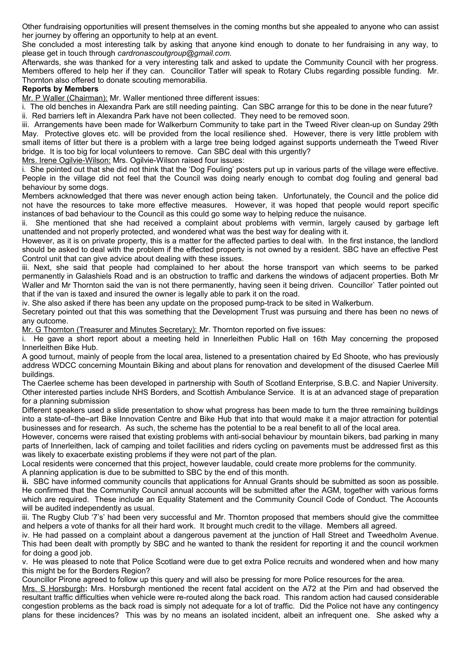Other fundraising opportunities will present themselves in the coming months but she appealed to anyone who can assist her journey by offering an opportunity to help at an event.

She concluded a most interesting talk by asking that anyone kind enough to donate to her fundraising in any way, to please get in touch through *cardronascoutgroup@gmail.com.* 

Afterwards, she was thanked for a very interesting talk and asked to update the Community Council with her progress. Members offered to help her if they can. Councillor Tatler will speak to Rotary Clubs regarding possible funding. Mr. Thornton also offered to donate scouting memorabilia.

#### **Reports by Members**

Mr. P Waller (Chairman): Mr. Waller mentioned three different issues:

i. The old benches in Alexandra Park are still needing painting. Can SBC arrange for this to be done in the near future? ii. Red barriers left in Alexandra Park have not been collected. They need to be removed soon.

iii. Arrangements have been made for Walkerburn Community to take part in the Tweed River clean-up on Sunday 29th May. Protective gloves etc. will be provided from the local resilience shed. However, there is very little problem with small items of litter but there is a problem with a large tree being lodged against supports underneath the Tweed River bridge. It is too big for local volunteers to remove. Can SBC deal with this urgently?

Mrs. Irene Ogilvie-Wilson: Mrs. Ogilvie-Wilson raised four issues:

i. She pointed out that she did not think that the 'Dog Fouling' posters put up in various parts of the village were effective. People in the village did not feel that the Council was doing nearly enough to combat dog fouling and general bad behaviour by some dogs.

Members acknowledged that there was never enough action being taken. Unfortunately, the Council and the police did not have the resources to take more effective measures. However, it was hoped that people would report specific instances of bad behaviour to the Council as this could go some way to helping reduce the nuisance.

ii. She mentioned that she had received a complaint about problems with vermin, largely caused by garbage left unattended and not properly protected, and wondered what was the best way for dealing with it.

However, as it is on private property, this is a matter for the affected parties to deal with. In the first instance, the landlord should be asked to deal with the problem if the effected property is not owned by a resident. SBC have an effective Pest Control unit that can give advice about dealing with these issues.

iii. Next, she said that people had complained to her about the horse transport van which seems to be parked permanently in Galashiels Road and is an obstruction to traffic and darkens the windows of adjacent properties. Both Mr Waller and Mr Thornton said the van is not there permanently, having seen it being driven. Councillor` Tatler pointed out that if the van is taxed and insured the owner is legally able to park it on the road.

iv. She also asked if there has been any update on the proposed pump-track to be sited in Walkerburn.

Secretary pointed out that this was something that the Development Trust was pursuing and there has been no news of any outcome.

Mr. G Thornton (Treasurer and Minutes Secretary): Mr. Thornton reported on five issues:

i. He gave a short report about a meeting held in Innerleithen Public Hall on 16th May concerning the proposed Innerleithen Bike Hub.

A good turnout, mainly of people from the local area, listened to a presentation chaired by Ed Shoote, who has previously address WDCC concerning Mountain Biking and about plans for renovation and development of the disused Caerlee Mill buildings.

The Caerlee scheme has been developed in partnership with South of Scotland Enterprise, S.B.C. and Napier University. Other interested parties include NHS Borders, and Scottish Ambulance Service. It is at an advanced stage of preparation for a planning submission

Different speakers used a slide presentation to show what progress has been made to turn the three remaining buildings into a state-of–the–art Bike Innovation Centre and Bike Hub that into that would make it a major attraction for potential businesses and for research. As such, the scheme has the potential to be a real benefit to all of the local area.

However, concerns were raised that existing problems with anti-social behaviour by mountain bikers, bad parking in many parts of Innerleithen, lack of camping and toilet facilities and riders cycling on pavements must be addressed first as this was likely to exacerbate existing problems if they were not part of the plan.

Local residents were concerned that this project, however laudable, could create more problems for the community.

A planning application is due to be submitted to SBC by the end of this month.

**ii.** SBC have informed community councils that applications for Annual Grants should be submitted as soon as possible. He confirmed that the Community Council annual accounts will be submitted after the AGM, together with various forms which are required. These include an Equality Statement and the Community Council Code of Conduct. The Accounts will be audited independently as usual.

iii. The Rugby Club '7's' had been very successful and Mr. Thornton proposed that members should give the committee and helpers a vote of thanks for all their hard work. It brought much credit to the village. Members all agreed.

iv. He had passed on a complaint about a dangerous pavement at the junction of Hall Street and Tweedholm Avenue. This had been dealt with promptly by SBC and he wanted to thank the resident for reporting it and the council workmen for doing a good job.

v. He was pleased to note that Police Scotland were due to get extra Police recruits and wondered when and how many this might be for the Borders Region?

Councillor Pirone agreed to follow up this query and will also be pressing for more Police resources for the area.

Mrs. S Horsburgh**:** Mrs. Horsburgh mentioned the recent fatal accident on the A72 at the Pirn and had observed the resultant traffic difficulties when vehicle were re-routed along the back road. This random action had caused considerable congestion problems as the back road is simply not adequate for a lot of traffic. Did the Police not have any contingency plans for these incidences? This was by no means an isolated incident, albeit an infrequent one. She asked why a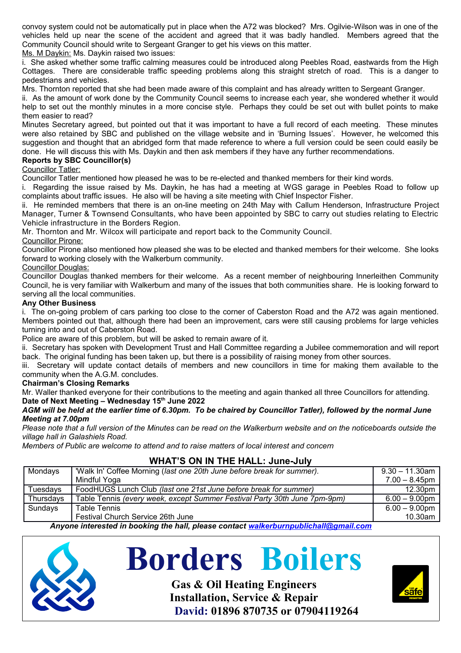convoy system could not be automatically put in place when the A72 was blocked? Mrs. Ogilvie-Wilson was in one of the vehicles held up near the scene of the accident and agreed that it was badly handled. Members agreed that the Community Council should write to Sergeant Granger to get his views on this matter.

Ms. M Daykin: Ms. Daykin raised two issues:

i. She asked whether some traffic calming measures could be introduced along Peebles Road, eastwards from the High Cottages. There are considerable traffic speeding problems along this straight stretch of road. This is a danger to pedestrians and vehicles.

Mrs. Thornton reported that she had been made aware of this complaint and has already written to Sergeant Granger.

ii. As the amount of work done by the Community Council seems to increase each year, she wondered whether it would help to set out the monthly minutes in a more concise style. Perhaps they could be set out with bullet points to make them easier to read?

Minutes Secretary agreed, but pointed out that it was important to have a full record of each meeting. These minutes were also retained by SBC and published on the village website and in 'Burning Issues'. However, he welcomed this suggestion and thought that an abridged form that made reference to where a full version could be seen could easily be done. He will discuss this with Ms. Daykin and then ask members if they have any further recommendations.

#### **Reports by SBC Councillor(s)**

#### Councillor Tatler:

Councillor Tatler mentioned how pleased he was to be re-elected and thanked members for their kind words.

i. Regarding the issue raised by Ms. Daykin, he has had a meeting at WGS garage in Peebles Road to follow up complaints about traffic issues. He also will be having a site meeting with Chief Inspector Fisher.

ii. He reminded members that there is an on-line meeting on 24th May with Callum Henderson, Infrastructure Project Manager, Turner & Townsend Consultants, who have been appointed by SBC to carry out studies relating to Electric Vehicle infrastructure in the Borders Region.

Mr. Thornton and Mr. Wilcox will participate and report back to the Community Council.

Councillor Pirone:

Councillor Pirone also mentioned how pleased she was to be elected and thanked members for their welcome. She looks forward to working closely with the Walkerburn community.

#### Councillor Douglas:

Councillor Douglas thanked members for their welcome. As a recent member of neighbouring Innerleithen Community Council, he is very familiar with Walkerburn and many of the issues that both communities share. He is looking forward to serving all the local communities.

#### **Any Other Business**

i. The on-going problem of cars parking too close to the corner of Caberston Road and the A72 was again mentioned. Members pointed out that, although there had been an improvement, cars were still causing problems for large vehicles turning into and out of Caberston Road.

Police are aware of this problem, but will be asked to remain aware of it.

ii. Secretary has spoken with Development Trust and Hall Committee regarding a Jubilee commemoration and will report back. The original funding has been taken up, but there is a possibility of raising money from other sources.

iii. Secretary will update contact details of members and new councillors in time for making them available to the community when the A.G.M. concludes.

#### **Chairman's Closing Remarks**

Mr. Waller thanked everyone for their contributions to the meeting and again thanked all three Councillors for attending. **Date of Next Meeting – Wednesday 15th June 2022**

#### *AGM will be held at the earlier time of 6.30pm. To be chaired by Councillor Tatler), followed by the normal June Meeting at 7.00pm*

*Please note that a full version of the Minutes can be read on the Walkerburn website and on the noticeboards outside the village hall in Galashiels Road.* 

*Members of Public are welcome to attend and to raise matters of local interest and concern*

## **WHAT'S ON IN THE HALL: June-July**

| Mondays   | 'Walk In' Coffee Morning (last one 20th June before break for summer).    | 9.30 – 11.30am      |
|-----------|---------------------------------------------------------------------------|---------------------|
|           | Mindful Yoga                                                              | $7.00 - 8.45$ pm l  |
| Tuesdays  | FoodHUGS Lunch Club (last one 21st June before break for summer)          | 12.30 <sub>pm</sub> |
| Thursdays | Table Tennis (every week, except Summer Festival Party 30th June 7pm-9pm) | $6.00 - 9.00$ pm    |
| Sundays   | <b>Table Tennis</b>                                                       | $6.00 - 9.00$ pm    |
|           | Festival Church Service 26th June                                         | 10.30am             |

*Anyone interested in booking the hall, please contact walkerburnpublichall@gmail.com*



# **Borders Boilers**

**Gas & Oil Heating Engineers Installation, Service & Repair David: 01896 870735 or 07904119264**